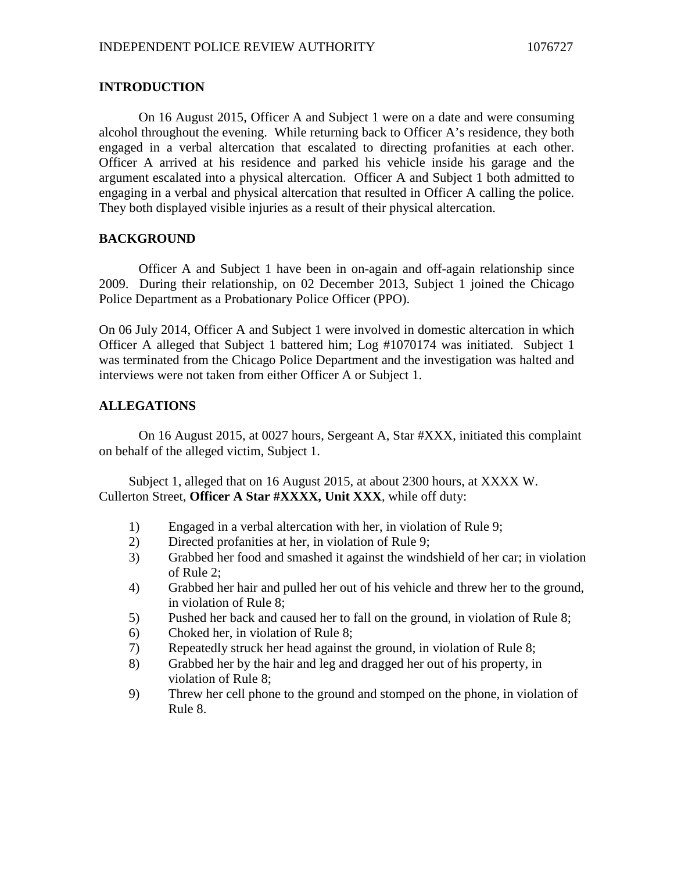## **INTRODUCTION**

On 16 August 2015, Officer A and Subject 1 were on a date and were consuming alcohol throughout the evening. While returning back to Officer A's residence, they both engaged in a verbal altercation that escalated to directing profanities at each other. Officer A arrived at his residence and parked his vehicle inside his garage and the argument escalated into a physical altercation. Officer A and Subject 1 both admitted to engaging in a verbal and physical altercation that resulted in Officer A calling the police. They both displayed visible injuries as a result of their physical altercation.

## **BACKGROUND**

Officer A and Subject 1 have been in on-again and off-again relationship since 2009. During their relationship, on 02 December 2013, Subject 1 joined the Chicago Police Department as a Probationary Police Officer (PPO).

On 06 July 2014, Officer A and Subject 1 were involved in domestic altercation in which Officer A alleged that Subject 1 battered him; Log #1070174 was initiated. Subject 1 was terminated from the Chicago Police Department and the investigation was halted and interviews were not taken from either Officer A or Subject 1.

## **ALLEGATIONS**

On 16 August 2015, at 0027 hours, Sergeant A, Star #XXX, initiated this complaint on behalf of the alleged victim, Subject 1.

Subject 1, alleged that on 16 August 2015, at about 2300 hours, at XXXX W. Cullerton Street, **Officer A Star #XXXX, Unit XXX**, while off duty:

- 1) Engaged in a verbal altercation with her, in violation of Rule 9;
- 2) Directed profanities at her, in violation of Rule 9;
- 3) Grabbed her food and smashed it against the windshield of her car; in violation of Rule 2;
- 4) Grabbed her hair and pulled her out of his vehicle and threw her to the ground, in violation of Rule 8;
- 5) Pushed her back and caused her to fall on the ground, in violation of Rule 8;
- 6) Choked her, in violation of Rule 8;
- 7) Repeatedly struck her head against the ground, in violation of Rule 8;
- 8) Grabbed her by the hair and leg and dragged her out of his property, in violation of Rule 8;
- 9) Threw her cell phone to the ground and stomped on the phone, in violation of Rule 8.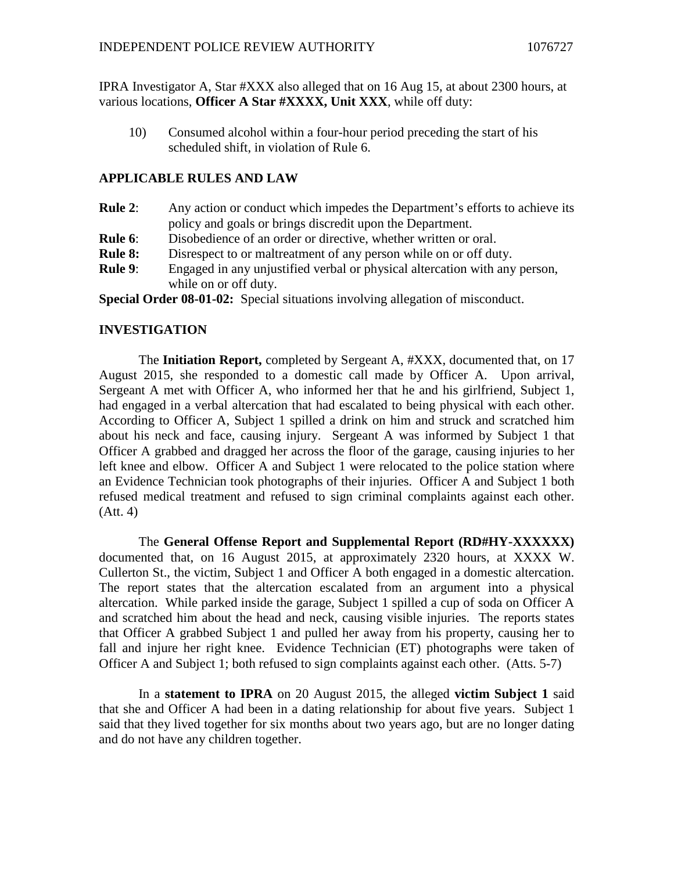IPRA Investigator A, Star #XXX also alleged that on 16 Aug 15, at about 2300 hours, at various locations, **Officer A Star #XXXX, Unit XXX**, while off duty:

10) Consumed alcohol within a four-hour period preceding the start of his scheduled shift, in violation of Rule 6.

#### **APPLICABLE RULES AND LAW**

- **Rule 2**: Any action or conduct which impedes the Department's efforts to achieve its policy and goals or brings discredit upon the Department.
- **Rule 6:** Disobedience of an order or directive, whether written or oral.
- **Rule 8:** Disrespect to or maltreatment of any person while on or off duty.
- **Rule 9**: Engaged in any unjustified verbal or physical altercation with any person, while on or off duty.

**Special Order 08-01-02:** Special situations involving allegation of misconduct.

#### **INVESTIGATION**

The **Initiation Report,** completed by Sergeant A, #XXX, documented that, on 17 August 2015, she responded to a domestic call made by Officer A. Upon arrival, Sergeant A met with Officer A, who informed her that he and his girlfriend, Subject 1, had engaged in a verbal altercation that had escalated to being physical with each other. According to Officer A, Subject 1 spilled a drink on him and struck and scratched him about his neck and face, causing injury. Sergeant A was informed by Subject 1 that Officer A grabbed and dragged her across the floor of the garage, causing injuries to her left knee and elbow. Officer A and Subject 1 were relocated to the police station where an Evidence Technician took photographs of their injuries. Officer A and Subject 1 both refused medical treatment and refused to sign criminal complaints against each other. (Att. 4)

The **General Offense Report and Supplemental Report (RD#HY-XXXXXX)** documented that, on 16 August 2015, at approximately 2320 hours, at XXXX W. Cullerton St., the victim, Subject 1 and Officer A both engaged in a domestic altercation. The report states that the altercation escalated from an argument into a physical altercation. While parked inside the garage, Subject 1 spilled a cup of soda on Officer A and scratched him about the head and neck, causing visible injuries. The reports states that Officer A grabbed Subject 1 and pulled her away from his property, causing her to fall and injure her right knee. Evidence Technician (ET) photographs were taken of Officer A and Subject 1; both refused to sign complaints against each other. (Atts. 5-7)

In a **statement to IPRA** on 20 August 2015, the alleged **victim Subject 1** said that she and Officer A had been in a dating relationship for about five years. Subject 1 said that they lived together for six months about two years ago, but are no longer dating and do not have any children together.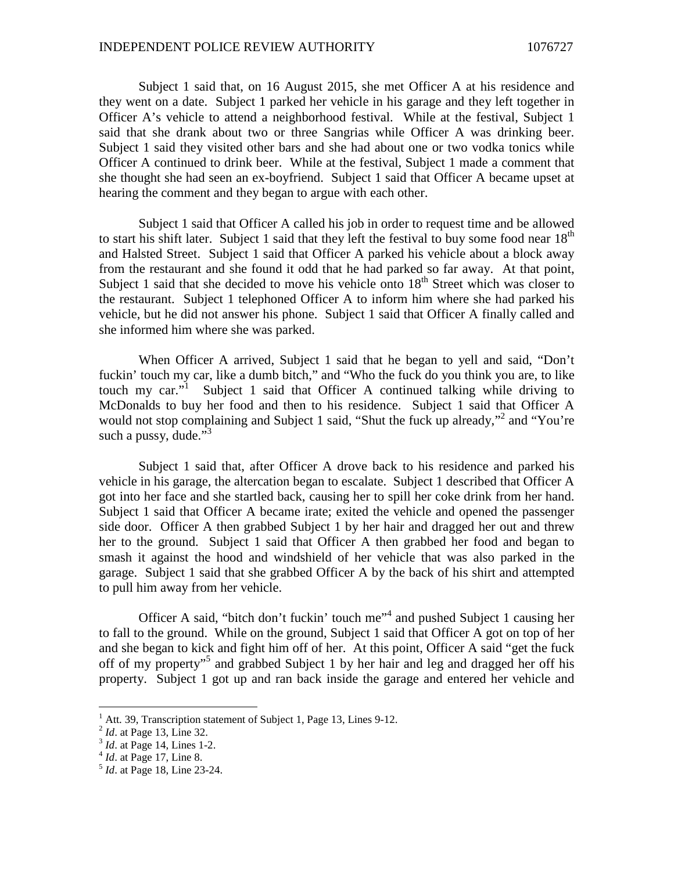Subject 1 said that, on 16 August 2015, she met Officer A at his residence and they went on a date. Subject 1 parked her vehicle in his garage and they left together in Officer A's vehicle to attend a neighborhood festival. While at the festival, Subject 1 said that she drank about two or three Sangrias while Officer A was drinking beer. Subject 1 said they visited other bars and she had about one or two vodka tonics while Officer A continued to drink beer. While at the festival, Subject 1 made a comment that she thought she had seen an ex-boyfriend. Subject 1 said that Officer A became upset at hearing the comment and they began to argue with each other.

Subject 1 said that Officer A called his job in order to request time and be allowed to start his shift later. Subject 1 said that they left the festival to buy some food near  $18<sup>th</sup>$ and Halsted Street. Subject 1 said that Officer A parked his vehicle about a block away from the restaurant and she found it odd that he had parked so far away. At that point, Subject 1 said that she decided to move his vehicle onto  $18<sup>th</sup>$  Street which was closer to the restaurant. Subject 1 telephoned Officer A to inform him where she had parked his vehicle, but he did not answer his phone. Subject 1 said that Officer A finally called and she informed him where she was parked.

When Officer A arrived, Subject 1 said that he began to yell and said, "Don't fuckin' touch my car, like a dumb bitch," and "Who the fuck do you think you are, to like touchmy car." Subject 1 said that Officer A continued talking while driving to McDonalds to buy her food and then to his residence. Subject 1 said that Officer A would not stop complaining and Subject 1 said, "Shut the fuck up already,"<sup>[2](#page-2-1)</sup> and "You're such a pussy, dude." $3$ 

Subject 1 said that, after Officer A drove back to his residence and parked his vehicle in his garage, the altercation began to escalate. Subject 1 described that Officer A got into her face and she startled back, causing her to spill her coke drink from her hand. Subject 1 said that Officer A became irate; exited the vehicle and opened the passenger side door. Officer A then grabbed Subject 1 by her hair and dragged her out and threw her to the ground. Subject 1 said that Officer A then grabbed her food and began to smash it against the hood and windshield of her vehicle that was also parked in the garage. Subject 1 said that she grabbed Officer A by the back of his shirt and attempted to pull him away from her vehicle.

OfficerA said, "bitch don't fuckin' touch me"<sup>4</sup> and pushed Subject 1 causing her to fall to the ground. While on the ground, Subject 1 said that Officer A got on top of her and she began to kick and fight him off of her. At this point, Officer A said "get the fuck off of my property"<sup>[5](#page-2-4)</sup> and grabbed Subject 1 by her hair and leg and dragged her off his property. Subject 1 got up and ran back inside the garage and entered her vehicle and

<span id="page-2-1"></span><span id="page-2-0"></span> $<sup>1</sup>$  Att. 39, Transcription statement of Subject 1, Page 13, Lines 9-12.</sup>

<span id="page-2-2"></span><sup>2</sup> *Id*. at Page 13, Line 32.

<span id="page-2-3"></span><sup>3</sup> *Id*. at Page 14, Lines 1-2.

<span id="page-2-4"></span><sup>4</sup> *Id*. at Page 17, Line 8.

<sup>5</sup> *Id*. at Page 18, Line 23-24.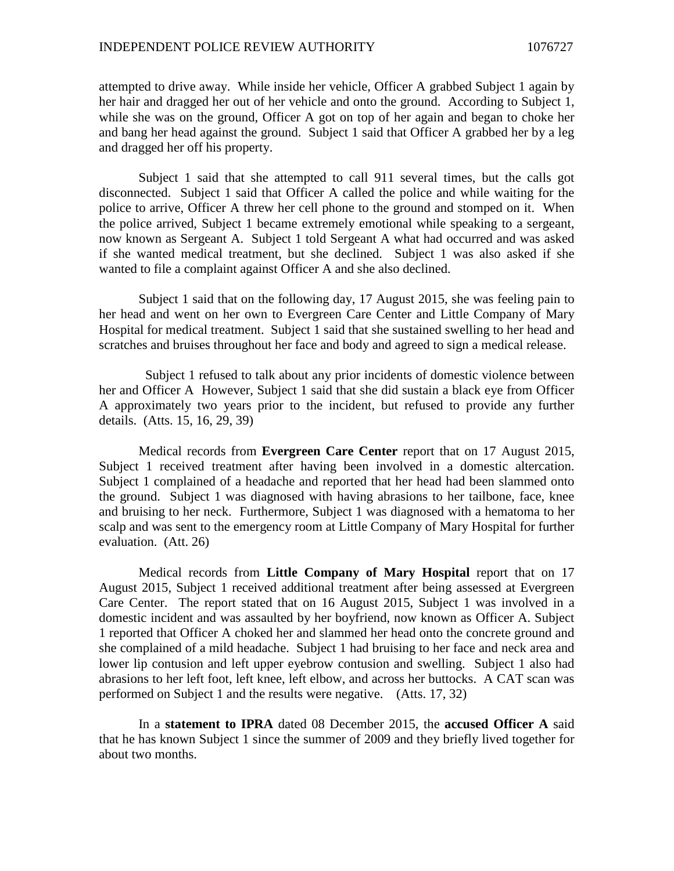#### INDEPENDENT POLICE REVIEW AUTHORITY 1076727

attempted to drive away. While inside her vehicle, Officer A grabbed Subject 1 again by her hair and dragged her out of her vehicle and onto the ground. According to Subject 1, while she was on the ground, Officer A got on top of her again and began to choke her and bang her head against the ground. Subject 1 said that Officer A grabbed her by a leg and dragged her off his property.

Subject 1 said that she attempted to call 911 several times, but the calls got disconnected. Subject 1 said that Officer A called the police and while waiting for the police to arrive, Officer A threw her cell phone to the ground and stomped on it. When the police arrived, Subject 1 became extremely emotional while speaking to a sergeant, now known as Sergeant A. Subject 1 told Sergeant A what had occurred and was asked if she wanted medical treatment, but she declined. Subject 1 was also asked if she wanted to file a complaint against Officer A and she also declined.

Subject 1 said that on the following day, 17 August 2015, she was feeling pain to her head and went on her own to Evergreen Care Center and Little Company of Mary Hospital for medical treatment. Subject 1 said that she sustained swelling to her head and scratches and bruises throughout her face and body and agreed to sign a medical release.

Subject 1 refused to talk about any prior incidents of domestic violence between her and Officer A However, Subject 1 said that she did sustain a black eye from Officer A approximately two years prior to the incident, but refused to provide any further details. (Atts. 15, 16, 29, 39)

Medical records from **Evergreen Care Center** report that on 17 August 2015, Subject 1 received treatment after having been involved in a domestic altercation. Subject 1 complained of a headache and reported that her head had been slammed onto the ground. Subject 1 was diagnosed with having abrasions to her tailbone, face, knee and bruising to her neck. Furthermore, Subject 1 was diagnosed with a hematoma to her scalp and was sent to the emergency room at Little Company of Mary Hospital for further evaluation. (Att. 26)

Medical records from **Little Company of Mary Hospital** report that on 17 August 2015, Subject 1 received additional treatment after being assessed at Evergreen Care Center. The report stated that on 16 August 2015, Subject 1 was involved in a domestic incident and was assaulted by her boyfriend, now known as Officer A. Subject 1 reported that Officer A choked her and slammed her head onto the concrete ground and she complained of a mild headache. Subject 1 had bruising to her face and neck area and lower lip contusion and left upper eyebrow contusion and swelling. Subject 1 also had abrasions to her left foot, left knee, left elbow, and across her buttocks. A CAT scan was performed on Subject 1 and the results were negative. (Atts. 17, 32)

In a **statement to IPRA** dated 08 December 2015, the **accused Officer A** said that he has known Subject 1 since the summer of 2009 and they briefly lived together for about two months.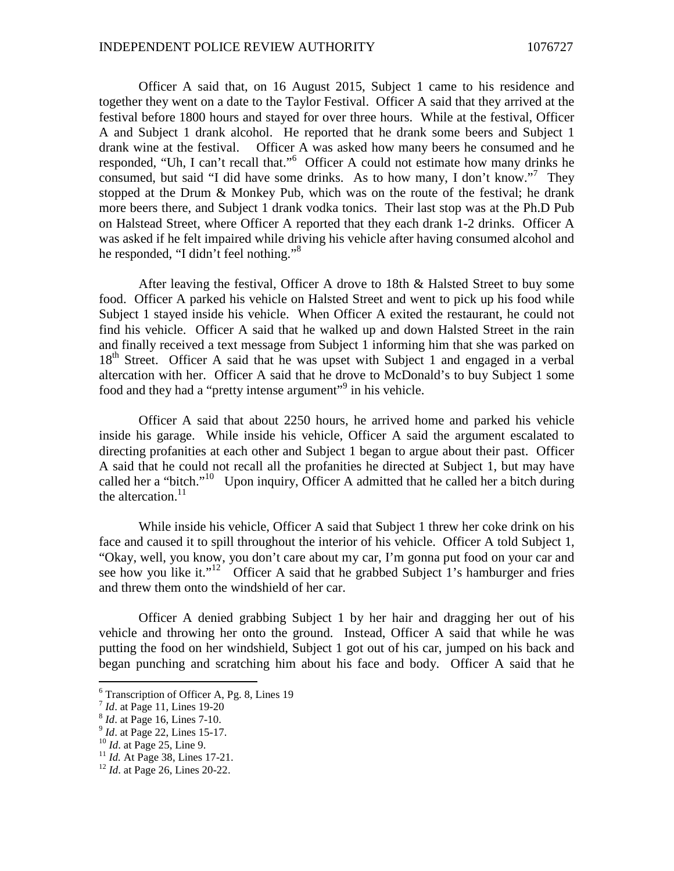Officer A said that, on 16 August 2015, Subject 1 came to his residence and together they went on a date to the Taylor Festival. Officer A said that they arrived at the festival before 1800 hours and stayed for over three hours. While at the festival, Officer A and Subject 1 drank alcohol. He reported that he drank some beers and Subject 1 drank wine at the festival. Officer A was asked how many beers he consumed and he responded, "Uh, I can't recallthat."<sup>6</sup> Officer A could not estimate how many drinks he consumed, but said "I did have some drinks. As to how many, I don't know."<sup>[7](#page-4-1)</sup> They stopped at the Drum & Monkey Pub, which was on the route of the festival; he drank more beers there, and Subject 1 drank vodka tonics. Their last stop was at the Ph.D Pub on Halstead Street, where Officer A reported that they each drank 1-2 drinks. Officer A was asked if he felt impaired while driving his vehicle after having consumed alcohol and he responded, "I didn't feel nothing."<sup>[8](#page-4-2)</sup>

After leaving the festival, Officer A drove to 18th & Halsted Street to buy some food. Officer A parked his vehicle on Halsted Street and went to pick up his food while Subject 1 stayed inside his vehicle. When Officer A exited the restaurant, he could not find his vehicle. Officer A said that he walked up and down Halsted Street in the rain and finally received a text message from Subject 1 informing him that she was parked on 18<sup>th</sup> Street. Officer A said that he was upset with Subject 1 and engaged in a verbal altercation with her. Officer A said that he drove to McDonald's to buy Subject 1 some food and they had a "pretty [i](#page-4-3)ntense argument"<sup>9</sup> in his vehicle.

Officer A said that about 2250 hours, he arrived home and parked his vehicle inside his garage. While inside his vehicle, Officer A said the argument escalated to directing profanities at each other and Subject 1 began to argue about their past. Officer A said that he could not recall all the profanities he directed at Subject 1, but may have called her a "bitch."[10](#page-4-4) Upon inquiry, Officer A admitted that he called her a bitch during the altercation.<sup>[11](#page-4-5)</sup>

While inside his vehicle, Officer A said that Subject 1 threw her coke drink on his face and caused it to spill throughout the interior of his vehicle. Officer A told Subject 1, "Okay, well, you know, you don't care about my car, I'm gonna put food on your car and seehow you like it.["](#page-4-6)<sup>12</sup> Officer A said that he grabbed Subject 1's hamburger and fries and threw them onto the windshield of her car.

Officer A denied grabbing Subject 1 by her hair and dragging her out of his vehicle and throwing her onto the ground. Instead, Officer A said that while he was putting the food on her windshield, Subject 1 got out of his car, jumped on his back and began punching and scratching him about his face and body. Officer A said that he

<span id="page-4-0"></span><sup>6</sup> Transcription of Officer A, Pg. 8, Lines 19

<span id="page-4-2"></span><span id="page-4-1"></span><sup>7</sup> *Id*. at Page 11, Lines 19-20

<span id="page-4-3"></span><sup>8</sup> *Id*. at Page 16, Lines 7-10.

<span id="page-4-4"></span><sup>&</sup>lt;sup>9</sup> *Id.* at Page 22, Lines 15-17.

<sup>10</sup> *Id*. at Page 25, Line 9.

<span id="page-4-5"></span><sup>&</sup>lt;sup>11</sup> *Id.* At Page 38, Lines 17-21.

<span id="page-4-6"></span><sup>12</sup> *Id*. at Page 26, Lines 20-22.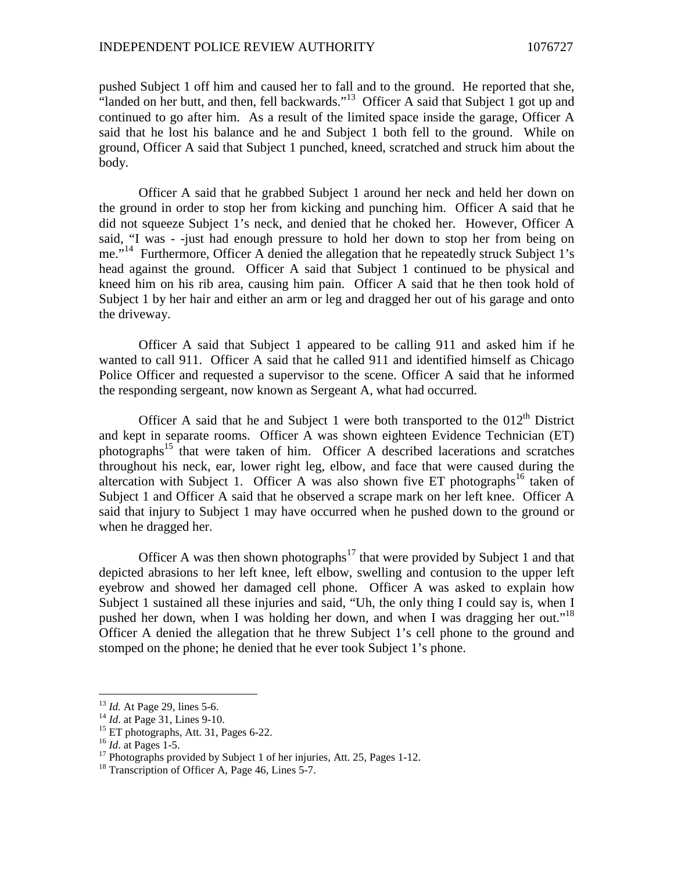pushed Subject 1 off him and caused her to fall and to the ground. He reported that she, "landed on her butt, and then, fell backwards."[13](#page-5-0) Officer A said that Subject 1 got up and continued to go after him. As a result of the limited space inside the garage, Officer A said that he lost his balance and he and Subject 1 both fell to the ground. While on ground, Officer A said that Subject 1 punched, kneed, scratched and struck him about the body.

Officer A said that he grabbed Subject 1 around her neck and held her down on the ground in order to stop her from kicking and punching him. Officer A said that he did not squeeze Subject 1's neck, and denied that he choked her. However, Officer A said, "I was - -just had enough pressure to hold her down to stop her from being on me."<sup>[14](#page-5-1)</sup> Furthermore, Officer A denied the allegation that he repeatedly struck Subject 1's head against the ground. Officer A said that Subject 1 continued to be physical and kneed him on his rib area, causing him pain. Officer A said that he then took hold of Subject 1 by her hair and either an arm or leg and dragged her out of his garage and onto the driveway.

Officer A said that Subject 1 appeared to be calling 911 and asked him if he wanted to call 911. Officer A said that he called 911 and identified himself as Chicago Police Officer and requested a supervisor to the scene. Officer A said that he informed the responding sergeant, now known as Sergeant A, what had occurred.

Officer A said that he and Subject 1 were both transported to the  $012<sup>th</sup>$  District and kept in separate rooms. Officer A was shown eighteen Evidence Technician (ET) photographs[15](#page-5-2) that were taken of him. Officer A described lacerations and scratches throughout his neck, ear, lower right leg, elbow, and face that were caused during the altercation with Subject 1. Officer A was also shown five ET photographs<sup>[16](#page-5-3)</sup> taken of Subject 1 and Officer A said that he observed a scrape mark on her left knee. Officer A said that injury to Subject 1 may have occurred when he pushed down to the ground or when he dragged her.

Officer A was then shown photographs<sup>[17](#page-5-4)</sup> that were provided by Subject 1 and that depicted abrasions to her left knee, left elbow, swelling and contusion to the upper left eyebrow and showed her damaged cell phone. Officer A was asked to explain how Subject 1 sustained all these injuries and said, "Uh, the only thing I could say is, when I pushedher down, when I was holding her down, and when I was dragging her out.["](#page-5-5)<sup>18</sup> Officer A denied the allegation that he threw Subject 1's cell phone to the ground and stomped on the phone; he denied that he ever took Subject 1's phone.

<span id="page-5-1"></span><span id="page-5-0"></span><sup>&</sup>lt;sup>13</sup> *Id.* At Page 29, lines 5-6.

<sup>&</sup>lt;sup>14</sup> *Id.* at Page 31, Lines 9-10.

<span id="page-5-2"></span><sup>&</sup>lt;sup>15</sup> ET photographs, Att. 31, Pages 6-22.

<span id="page-5-3"></span><sup>16</sup> *Id*. at Pages 1-5.

<span id="page-5-4"></span> $17$  Photographs provided by Subject 1 of her injuries, Att. 25, Pages 1-12.

<span id="page-5-5"></span><sup>&</sup>lt;sup>18</sup> Transcription of Officer A, Page 46, Lines 5-7.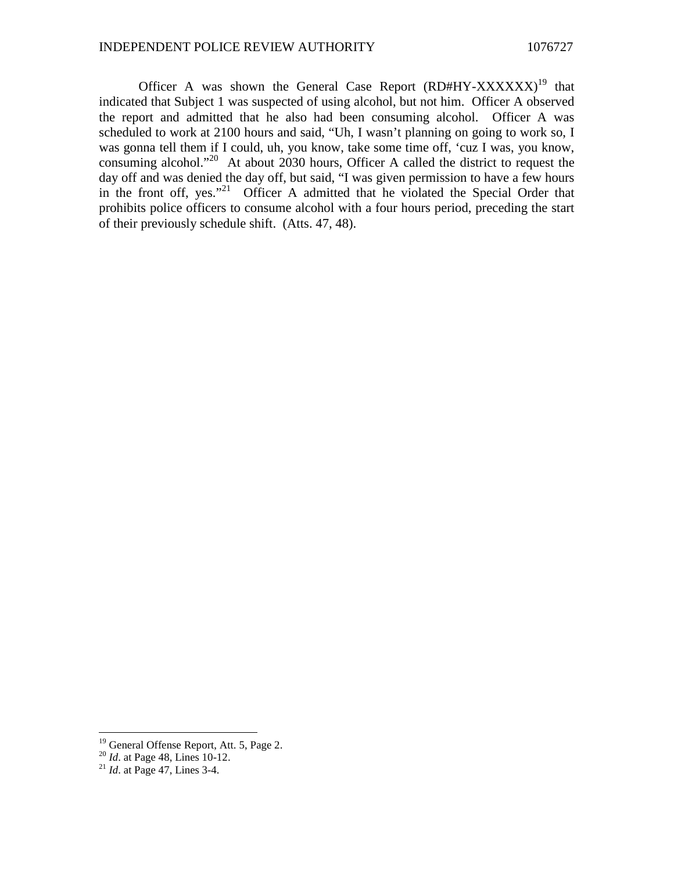Officer A was shown the General Case Report  $(RD#HY-XXXXXX)^{19}$  $(RD#HY-XXXXXX)^{19}$  $(RD#HY-XXXXXX)^{19}$  that indicated that Subject 1 was suspected of using alcohol, but not him. Officer A observed the report and admitted that he also had been consuming alcohol. Officer A was scheduled to work at 2100 hours and said, "Uh, I wasn't planning on going to work so, I was gonna tell them if I could, uh, you know, take some time off, 'cuz I was, you know, consuming alcohol."[20](#page-6-1) At about 2030 hours, Officer A called the district to request the day off and was denied the day off, but said, "I was given permission to have a few hours inthe front off, yes."<sup>21</sup> Officer A admitted that he violated the Special Order that prohibits police officers to consume alcohol with a four hours period, preceding the start of their previously schedule shift. (Atts. 47, 48).

<span id="page-6-0"></span><sup>&</sup>lt;sup>19</sup> General Offense Report, Att. 5, Page 2.

<span id="page-6-2"></span><span id="page-6-1"></span><sup>20</sup> *Id*. at Page 48, Lines 10-12.

<sup>21</sup> *Id*. at Page 47, Lines 3-4.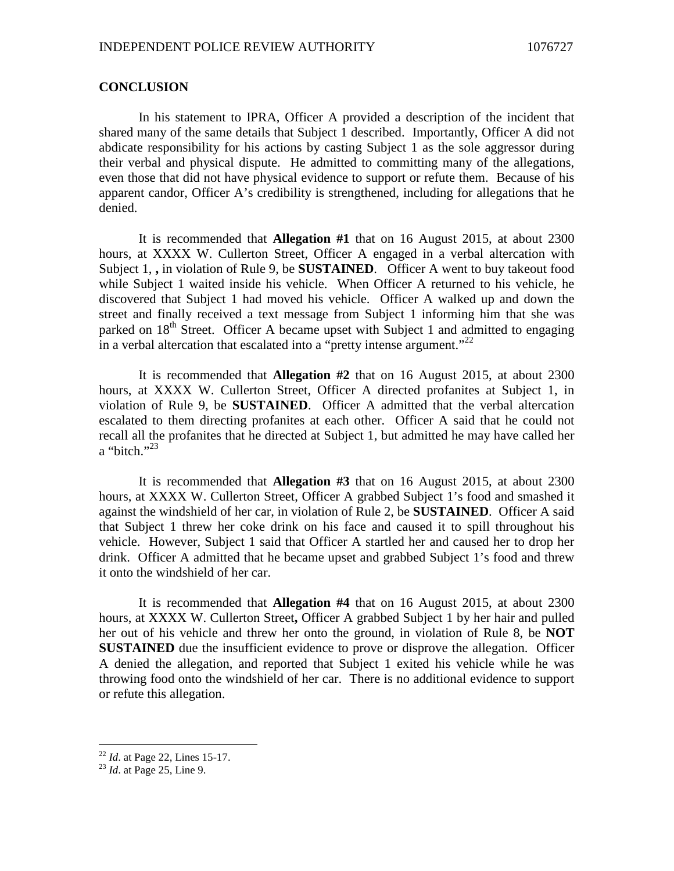### **CONCLUSION**

In his statement to IPRA, Officer A provided a description of the incident that shared many of the same details that Subject 1 described. Importantly, Officer A did not abdicate responsibility for his actions by casting Subject 1 as the sole aggressor during their verbal and physical dispute. He admitted to committing many of the allegations, even those that did not have physical evidence to support or refute them. Because of his apparent candor, Officer A's credibility is strengthened, including for allegations that he denied.

It is recommended that **Allegation #1** that on 16 August 2015, at about 2300 hours, at XXXX W. Cullerton Street, Officer A engaged in a verbal altercation with Subject 1, **,** in violation of Rule 9, be **SUSTAINED**. Officer A went to buy takeout food while Subject 1 waited inside his vehicle. When Officer A returned to his vehicle, he discovered that Subject 1 had moved his vehicle. Officer A walked up and down the street and finally received a text message from Subject 1 informing him that she was parked on  $18<sup>th</sup>$  Street. Officer A became upset with Subject 1 and admitted to engaging in a verbal altercation that escalated into a "pretty intense argument."<sup>[22](#page-7-0)</sup>

It is recommended that **Allegation #2** that on 16 August 2015, at about 2300 hours, at XXXX W. Cullerton Street, Officer A directed profanites at Subject 1, in violation of Rule 9, be **SUSTAINED**. Officer A admitted that the verbal altercation escalated to them directing profanites at each other. Officer A said that he could not recall all the profanites that he directed at Subject 1, but admitted he may have called her a "bitch." $^{23}$  $^{23}$  $^{23}$ 

It is recommended that **Allegation #3** that on 16 August 2015, at about 2300 hours, at XXXX W. Cullerton Street, Officer A grabbed Subject 1's food and smashed it against the windshield of her car, in violation of Rule 2, be **SUSTAINED**. Officer A said that Subject 1 threw her coke drink on his face and caused it to spill throughout his vehicle. However, Subject 1 said that Officer A startled her and caused her to drop her drink. Officer A admitted that he became upset and grabbed Subject 1's food and threw it onto the windshield of her car.

It is recommended that **Allegation #4** that on 16 August 2015, at about 2300 hours, at XXXX W. Cullerton Street**,** Officer A grabbed Subject 1 by her hair and pulled her out of his vehicle and threw her onto the ground, in violation of Rule 8, be **NOT SUSTAINED** due the insufficient evidence to prove or disprove the allegation. Officer A denied the allegation, and reported that Subject 1 exited his vehicle while he was throwing food onto the windshield of her car. There is no additional evidence to support or refute this allegation.

<span id="page-7-1"></span><span id="page-7-0"></span><sup>&</sup>lt;sup>22</sup> *Id.* at Page 22, Lines 15-17.

<sup>23</sup> *Id*. at Page 25, Line 9.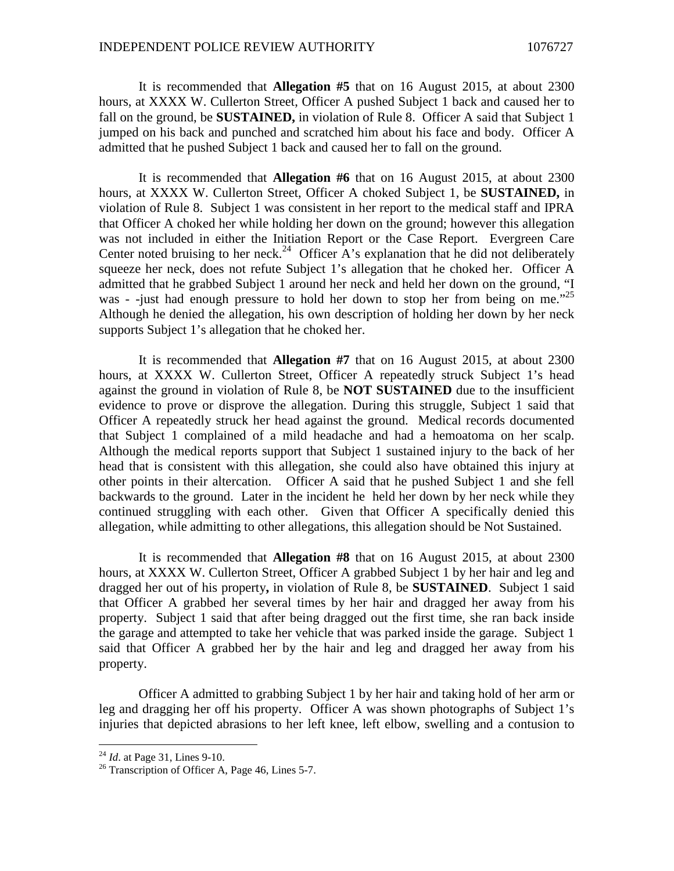It is recommended that **Allegation #5** that on 16 August 2015, at about 2300 hours, at XXXX W. Cullerton Street, Officer A pushed Subject 1 back and caused her to fall on the ground, be **SUSTAINED,** in violation of Rule 8. Officer A said that Subject 1 jumped on his back and punched and scratched him about his face and body. Officer A admitted that he pushed Subject 1 back and caused her to fall on the ground.

It is recommended that **Allegation #6** that on 16 August 2015, at about 2300 hours, at XXXX W. Cullerton Street, Officer A choked Subject 1, be **SUSTAINED,** in violation of Rule 8. Subject 1 was consistent in her report to the medical staff and IPRA that Officer A choked her while holding her down on the ground; however this allegation was not included in either the Initiation Report or the Case Report. Evergreen Care Center noted bruising to her neck.<sup>[24](#page-8-0)</sup> Officer A's explanation that he did not deliberately squeeze her neck, does not refute Subject 1's allegation that he choked her. Officer A admitted that he grabbed Subject 1 around her neck and held her down on the ground, "I was - -just had enough pressure to hold her down to stop her from being on me."<sup>25</sup> Although he denied the allegation, his own description of holding her down by her neck supports Subject 1's allegation that he choked her.

It is recommended that **Allegation #7** that on 16 August 2015, at about 2300 hours, at XXXX W. Cullerton Street, Officer A repeatedly struck Subject 1's head against the ground in violation of Rule 8, be **NOT SUSTAINED** due to the insufficient evidence to prove or disprove the allegation. During this struggle, Subject 1 said that Officer A repeatedly struck her head against the ground. Medical records documented that Subject 1 complained of a mild headache and had a hemoatoma on her scalp. Although the medical reports support that Subject 1 sustained injury to the back of her head that is consistent with this allegation, she could also have obtained this injury at other points in their altercation. Officer A said that he pushed Subject 1 and she fell backwards to the ground. Later in the incident he held her down by her neck while they continued struggling with each other. Given that Officer A specifically denied this allegation, while admitting to other allegations, this allegation should be Not Sustained.

It is recommended that **Allegation #8** that on 16 August 2015, at about 2300 hours, at XXXX W. Cullerton Street, Officer A grabbed Subject 1 by her hair and leg and dragged her out of his property**,** in violation of Rule 8, be **SUSTAINED**. Subject 1 said that Officer A grabbed her several times by her hair and dragged her away from his property. Subject 1 said that after being dragged out the first time, she ran back inside the garage and attempted to take her vehicle that was parked inside the garage. Subject 1 said that Officer A grabbed her by the hair and leg and dragged her away from his property.

Officer A admitted to grabbing Subject 1 by her hair and taking hold of her arm or leg and dragging her off his property. Officer A was shown photographs of Subject 1's injuries that depicted abrasions to her left knee, left elbow, swelling and a contusion to

<span id="page-8-0"></span><sup>24</sup> *Id*. at Page 31, Lines 9-10.

<sup>&</sup>lt;sup>26</sup> Transcription of Officer A, Page 46, Lines 5-7.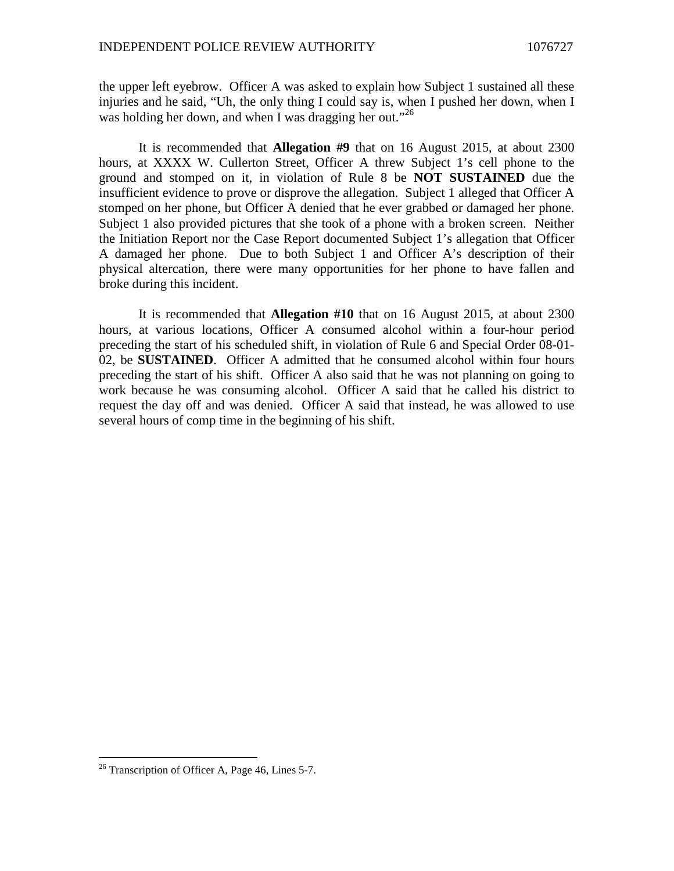the upper left eyebrow. Officer A was asked to explain how Subject 1 sustained all these injuries and he said, "Uh, the only thing I could say is, when I pushed her down, when I washolding her down, and when I was dragging her out."<sup>26</sup>

It is recommended that **Allegation #9** that on 16 August 2015, at about 2300 hours, at XXXX W. Cullerton Street, Officer A threw Subject 1's cell phone to the ground and stomped on it, in violation of Rule 8 be **NOT SUSTAINED** due the insufficient evidence to prove or disprove the allegation. Subject 1 alleged that Officer A stomped on her phone, but Officer A denied that he ever grabbed or damaged her phone. Subject 1 also provided pictures that she took of a phone with a broken screen. Neither the Initiation Report nor the Case Report documented Subject 1's allegation that Officer A damaged her phone. Due to both Subject 1 and Officer A's description of their physical altercation, there were many opportunities for her phone to have fallen and broke during this incident.

It is recommended that **Allegation #10** that on 16 August 2015, at about 2300 hours, at various locations, Officer A consumed alcohol within a four-hour period preceding the start of his scheduled shift, in violation of Rule 6 and Special Order 08-01- 02, be **SUSTAINED**. Officer A admitted that he consumed alcohol within four hours preceding the start of his shift. Officer A also said that he was not planning on going to work because he was consuming alcohol. Officer A said that he called his district to request the day off and was denied. Officer A said that instead, he was allowed to use several hours of comp time in the beginning of his shift.

<span id="page-9-0"></span> $26$  Transcription of Officer A, Page 46, Lines 5-7.